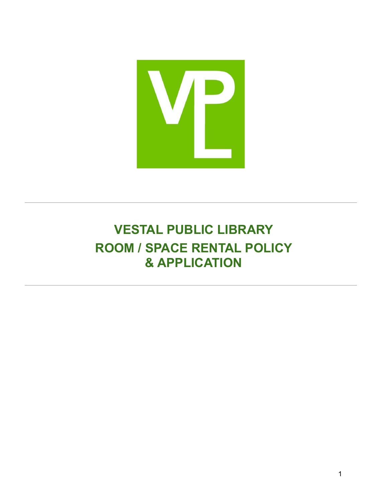

**VESTAL PUBLIC LIBRARY ROOM / SPACE RENTAL POLICY & APPLICATION**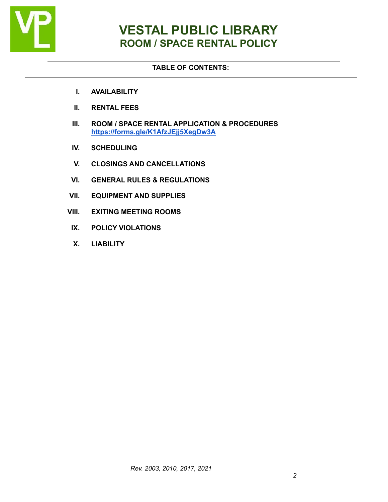

#### **TABLE OF CONTENTS:**

- **I. AVAILABILITY**
- **II. RENTAL FEES**
- **III. ROOM / SPACE RENTAL APPLICATION & PROCEDURES [https://forms.gle/K1AfzJEjj5XegDw3A](https://forms.gle/vGJfQaMfoLKqTyWX8)**
- **IV. SCHEDULING**
- **V. CLOSINGS AND CANCELLATIONS**
- **VI. GENERAL RULES & REGULATIONS**
- **VII. EQUIPMENT AND SUPPLIES**
- **VIII. EXITING MEETING ROOMS**
- **IX. POLICY VIOLATIONS**
- **X. LIABILITY**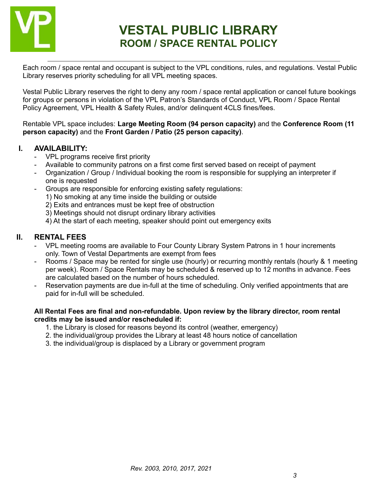

Each room / space rental and occupant is subject to the VPL conditions, rules, and regulations. Vestal Public Library reserves priority scheduling for all VPL meeting spaces.

Vestal Public Library reserves the right to deny any room / space rental application or cancel future bookings for groups or persons in violation of the VPL Patron's Standards of Conduct, VPL Room / Space Rental Policy Agreement, VPL Health & Safety Rules, and/or delinquent 4CLS fines/fees.

Rentable VPL space includes: **Large Meeting Room (94 person capacity)** and the **Conference Room (11 person capacity)** and the **Front Garden / Patio (25 person capacity)**.

#### **I. AVAILABILITY:**

- VPL programs receive first priority
- Available to community patrons on a first come first served based on receipt of payment
- Organization / Group / Individual booking the room is responsible for supplying an interpreter if one is requested
- Groups are responsible for enforcing existing safety regulations:
	- 1) No smoking at any time inside the building or outside
	- 2) Exits and entrances must be kept free of obstruction
	- 3) Meetings should not disrupt ordinary library activities
	- 4) At the start of each meeting, speaker should point out emergency exits

#### **II. RENTAL FEES**

- VPL meeting rooms are available to Four County Library System Patrons in 1 hour increments only. Town of Vestal Departments are exempt from fees
- Rooms / Space may be rented for single use (hourly) or recurring monthly rentals (hourly & 1 meeting per week). Room / Space Rentals may be scheduled & reserved up to 12 months in advance. Fees are calculated based on the number of hours scheduled.
- Reservation payments are due in-full at the time of scheduling. Only verified appointments that are paid for in-full will be scheduled.

#### **All Rental Fees are final and non-refundable. Upon review by the library director, room rental credits may be issued and/or rescheduled if:**

- 1. the Library is closed for reasons beyond its control (weather, emergency)
- 2. the individual/group provides the Library at least 48 hours notice of cancellation
- 3. the individual/group is displaced by a Library or government program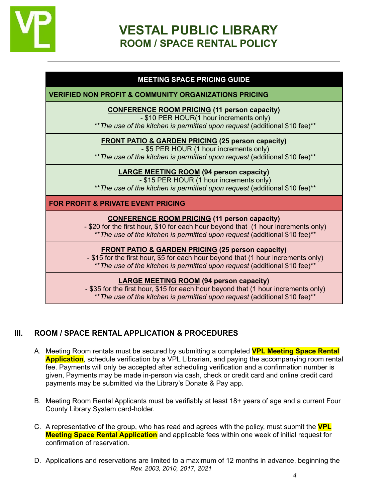

#### **MEETING SPACE PRICING GUIDE**

**VERIFIED NON PROFIT & COMMUNITY ORGANIZATIONS PRICING**

**CONFERENCE ROOM PRICING (11 person capacity)**

- \$10 PER HOUR(1 hour increments only)

\*\**The use of the kitchen is permitted upon request* (additional \$10 fee)\*\*

**FRONT PATIO & GARDEN PRICING (25 person capacity)**

- \$5 PER HOUR (1 hour increments only)

\*\**The use of the kitchen is permitted upon request* (additional \$10 fee)\*\*

**LARGE MEETING ROOM (94 person capacity)**

- \$15 PER HOUR (1 hour increments only)

\*\**The use of the kitchen is permitted upon request* (additional \$10 fee)\*\*

**FOR PROFIT & PRIVATE EVENT PRICING**

#### **CONFERENCE ROOM PRICING (11 person capacity)**

- \$20 for the first hour, \$10 for each hour beyond that (1 hour increments only) \*\**The use of the kitchen is permitted upon request* (additional \$10 fee)\*\*

**FRONT PATIO & GARDEN PRICING (25 person capacity)**

- \$15 for the first hour, \$5 for each hour beyond that (1 hour increments only) \*\**The use of the kitchen is permitted upon request* (additional \$10 fee)\*\*

#### **LARGE MEETING ROOM (94 person capacity)**

- \$35 for the first hour, \$15 for each hour beyond that (1 hour increments only) \*\**The use of the kitchen is permitted upon request* (additional \$10 fee)\*\*

# **III. ROOM / SPACE RENTAL APPLICATION & PROCEDURES**

- A. Meeting Room rentals must be secured by submitting a completed **VPL Meeting Space Rental Application**, schedule verification by a VPL Librarian, and paying the accompanying room rental fee. Payments will only be accepted after scheduling verification and a confirmation number is given, Payments may be made in-person via cash, check or credit card and online credit card payments may be submitted via the Library's Donate & Pay app.
- B. Meeting Room Rental Applicants must be verifiably at least 18+ years of age and a current Four County Library System card-holder.
- C. A representative of the group, who has read and agrees with the policy, must submit the **VPL Meeting Space Rental Application** and applicable fees within one week of initial request for confirmation of reservation.
- D. Applications and reservations are limited to a maximum of 12 months in advance, beginning the *Rev. 2003, 2010, 2017, 2021*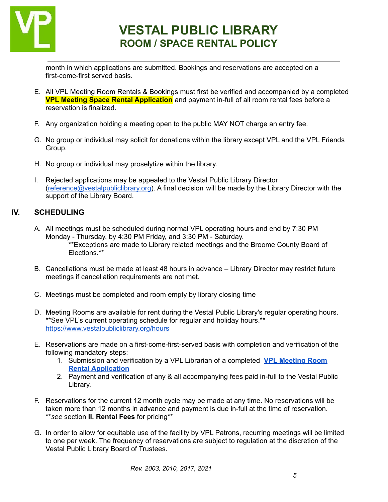

month in which applications are submitted. Bookings and reservations are accepted on a first-come-first served basis.

- E. All VPL Meeting Room Rentals & Bookings must first be verified and accompanied by a completed **VPL Meeting Space Rental Application** and payment in-full of all room rental fees before a reservation is finalized.
- F. Any organization holding a meeting open to the public MAY NOT charge an entry fee.
- G. No group or individual may solicit for donations within the library except VPL and the VPL Friends Group.
- H. No group or individual may proselytize within the library.
- I. Rejected applications may be appealed to the Vestal Public Library Director ([reference@vestalpubliclibrary.org\)](mailto:reference@vestalpubliclibrary.org). A final decision will be made by the Library Director with the support of the Library Board.

# **IV. SCHEDULING**

- A. All meetings must be scheduled during normal VPL operating hours and end by 7:30 PM Monday - Thursday, by 4:30 PM Friday, and 3:30 PM - Saturday. \*\*Exceptions are made to Library related meetings and the Broome County Board of Elections.\*\*
- B. Cancellations must be made at least 48 hours in advance Library Director may restrict future meetings if cancellation requirements are not met.
- C. Meetings must be completed and room empty by library closing time
- D. Meeting Rooms are available for rent during the Vestal Public Library's regular operating hours. \*\*See VPL's current operating schedule for regular and holiday hours.\*\* <https://www.vestalpubliclibrary.org/hours>
- E. Reservations are made on a first-come-first-served basis with completion and verification of the following mandatory steps:
	- 1. Submission and verification by a VPL Librarian of a completed **VPL [Meeting](https://forms.gle/vGJfQaMfoLKqTyWX8) Room Rental [Application](https://forms.gle/vGJfQaMfoLKqTyWX8)**
	- 2. Payment and verification of any & all accompanying fees paid in-full to the Vestal Public Library.
- F. Reservations for the current 12 month cycle may be made at any time. No reservations will be taken more than 12 months in advance and payment is due in-full at the time of reservation. \*\**see* section **II. Rental Fees** for pricing\*\*
- G. In order to allow for equitable use of the facility by VPL Patrons, recurring meetings will be limited to one per week. The frequency of reservations are subject to regulation at the discretion of the Vestal Public Library Board of Trustees.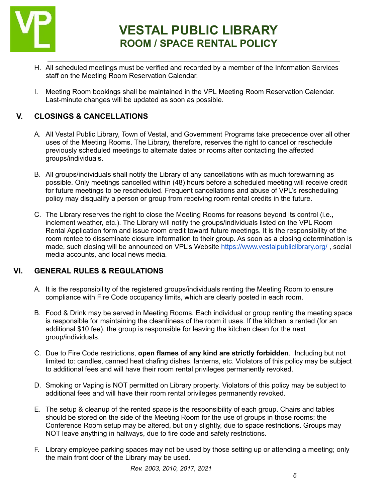

- H. All scheduled meetings must be verified and recorded by a member of the Information Services staff on the Meeting Room Reservation Calendar.
- I. Meeting Room bookings shall be maintained in the VPL Meeting Room Reservation Calendar. Last-minute changes will be updated as soon as possible.

# **V. CLOSINGS & CANCELLATIONS**

- A. All Vestal Public Library, Town of Vestal, and Government Programs take precedence over all other uses of the Meeting Rooms. The Library, therefore, reserves the right to cancel or reschedule previously scheduled meetings to alternate dates or rooms after contacting the affected groups/individuals.
- B. All groups/individuals shall notify the Library of any cancellations with as much forewarning as possible. Only meetings cancelled within (48) hours before a scheduled meeting will receive credit for future meetings to be rescheduled. Frequent cancellations and abuse of VPL's rescheduling policy may disqualify a person or group from receiving room rental credits in the future.
- C. The Library reserves the right to close the Meeting Rooms for reasons beyond its control (i.e., inclement weather, etc.). The Library will notify the groups/individuals listed on the VPL Room Rental Application form and issue room credit toward future meetings. It is the responsibility of the room rentee to disseminate closure information to their group. As soon as a closing determination is made, such closing will be announced on VPL's Website <https://www.vestalpubliclibrary.org/> , social media accounts, and local news media*.*

# **VI. GENERAL RULES & REGULATIONS**

- A. It is the responsibility of the registered groups/individuals renting the Meeting Room to ensure compliance with Fire Code occupancy limits, which are clearly posted in each room.
- B. Food & Drink may be served in Meeting Rooms. Each individual or group renting the meeting space is responsible for maintaining the cleanliness of the room it uses. If the kitchen is rented (for an additional \$10 fee), the group is responsible for leaving the kitchen clean for the next group/individuals.
- C. Due to Fire Code restrictions, **open flames of any kind are strictly forbidden**. Including but not limited to: candles, canned heat chafing dishes, lanterns, etc. Violators of this policy may be subject to additional fees and will have their room rental privileges permanently revoked.
- D. Smoking or Vaping is NOT permitted on Library property. Violators of this policy may be subject to additional fees and will have their room rental privileges permanently revoked.
- E. The setup & cleanup of the rented space is the responsibility of each group. Chairs and tables should be stored on the side of the Meeting Room for the use of groups in those rooms; the Conference Room setup may be altered, but only slightly, due to space restrictions. Groups may NOT leave anything in hallways, due to fire code and safety restrictions.
- F. Library employee parking spaces may not be used by those setting up or attending a meeting; only the main front door of the Library may be used.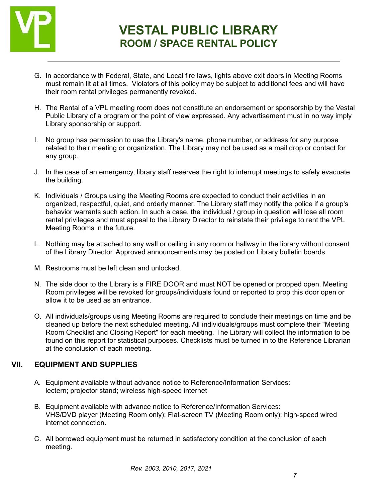

- G. In accordance with Federal, State, and Local fire laws, lights above exit doors in Meeting Rooms must remain lit at all times. Violators of this policy may be subject to additional fees and will have their room rental privileges permanently revoked.
- H. The Rental of a VPL meeting room does not constitute an endorsement or sponsorship by the Vestal Public Library of a program or the point of view expressed. Any advertisement must in no way imply Library sponsorship or support.
- I. No group has permission to use the Library's name, phone number, or address for any purpose related to their meeting or organization. The Library may not be used as a mail drop or contact for any group.
- J. In the case of an emergency, library staff reserves the right to interrupt meetings to safely evacuate the building.
- K. Individuals / Groups using the Meeting Rooms are expected to conduct their activities in an organized, respectful, quiet, and orderly manner. The Library staff may notify the police if a group's behavior warrants such action. In such a case, the individual / group in question will lose all room rental privileges and must appeal to the Library Director to reinstate their privilege to rent the VPL Meeting Rooms in the future.
- L. Nothing may be attached to any wall or ceiling in any room or hallway in the library without consent of the Library Director. Approved announcements may be posted on Library bulletin boards.
- M. Restrooms must be left clean and unlocked.
- N. The side door to the Library is a FIRE DOOR and must NOT be opened or propped open. Meeting Room privileges will be revoked for groups/individuals found or reported to prop this door open or allow it to be used as an entrance.
- O. All individuals/groups using Meeting Rooms are required to conclude their meetings on time and be cleaned up before the next scheduled meeting. All individuals/groups must complete their "Meeting Room Checklist and Closing Report" for each meeting. The Library will collect the information to be found on this report for statistical purposes. Checklists must be turned in to the Reference Librarian at the conclusion of each meeting.

# **VII. EQUIPMENT AND SUPPLIES**

- A. Equipment available without advance notice to Reference/Information Services: lectern; projector stand; wireless high-speed internet
- B. Equipment available with advance notice to Reference/Information Services: VHS/DVD player (Meeting Room only); Flat-screen TV (Meeting Room only); high-speed wired internet connection.
- C. All borrowed equipment must be returned in satisfactory condition at the conclusion of each meeting.

*Rev. 2003, 2010, 2017, 2021*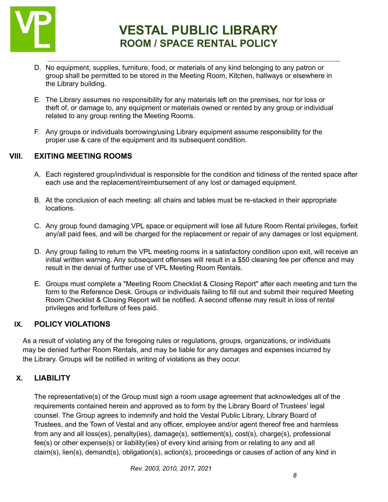

- D. No equipment, supplies, furniture, food, or materials of any kind belonging to any patron or group shall be permitted to be stored in the Meeting Room, Kitchen, hallways or elsewhere in the Library building.
- E. The Library assumes no responsibility for any materials left on the premises, nor for loss or theft of, or damage to, any equipment or materials owned or rented by any group or individual related to any group renting the Meeting Rooms.
- F. Any groups or individuals borrowing/using Library equipment assume responsibility for the proper use & care of the equipment and its subsequent condition.

# **VIII. EXITING MEETING ROOMS**

- A. Each registered group/individual is responsible for the condition and tidiness of the rented space after each use and the replacement/reimbursement of any lost or damaged equipment.
- B. At the conclusion of each meeting: all chairs and tables must be re-stacked in their appropriate locations.
- C. Any group found damaging VPL space or equipment will lose all future Room Rental privileges, forfeit any/all paid fees, and will be charged for the replacement or repair of any damages or lost equipment.
- D. Any group failing to return the VPL meeting rooms in a satisfactory condition upon exit, will receive an initial written warning. Any subsequent offenses will result in a \$50 cleaning fee per offence and may result in the denial of further use of VPL Meeting Room Rentals.
- E. Groups must complete a "Meeting Room Checklist & Closing Report" after each meeting and turn the form to the Reference Desk. Groups or individuals failing to fill out and submit their required Meeting Room Checklist & Closing Report will be notified. A second offense may result in loss of rental privileges and forfeiture of fees paid*.*

# **IX. POLICY VIOLATIONS**

As a result of violating any of the foregoing rules or regulations, groups, organizations, or individuals may be denied further Room Rentals, and may be liable for any damages and expenses incurred by the Library. Groups will be notified in writing of violations as they occur.

# **X. LIABILITY**

The representative(s) of the Group must sign a room usage agreement that acknowledges all of the requirements contained herein and approved as to form by the Library Board of Trustees' legal counsel. The Group agrees to indemnify and hold the Vestal Public Library, Library Board of Trustees, and the Town of Vestal and any officer, employee and/or agent thereof free and harmless from any and all loss(es), penalty(ies), damage(s), settlement(s), cost(s), charge(s), professional fee(s) or other expense(s) or liability(ies) of every kind arising from or relating to any and all claim(s), lien(s), demand(s), obligation(s), action(s), proceedings or causes of action of any kind in